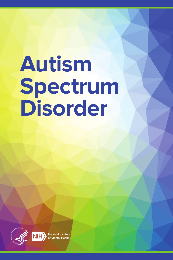# **Autism Spectrum Disorder**

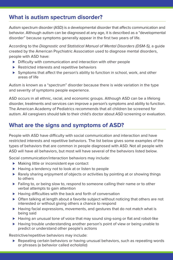## **What is autism spectrum disorder?**

Autism spectrum disorder (ASD) is a developmental disorder that affects communication and behavior. Although autism can be diagnosed at any age, it is described as a "developmental disorder" because symptoms generally appear in the first two years of life.

According to the Diagnostic and Statistical Manual of Mental Disorders (DSM-5), a guide created by the American Psychiatric Association used to diagnose mental disorders, people with ASD have:

- ▶ Difficulty with communication and interaction with other people
- ▶ Restricted interests and repetitive behaviors
- ► Symptoms that affect the person's ability to function in school, work, and other areas of life

Autism is known as a "spectrum" disorder because there is wide variation in the type and severity of symptoms people experience.

ASD occurs in all ethnic, racial, and economic groups. Although ASD can be a lifelong disorder, treatments and services can improve a person's symptoms and ability to function. The American Academy of Pediatrics recommends that all children be screened for autism. All caregivers should talk to their child's doctor about ASD screening or evaluation.

## **What are the signs and symptoms of ASD?**

People with ASD have difficulty with social communication and interaction and have restricted interests and repetitive behaviors. The list below gives some examples of the types of behaviors that are common in people diagnosed with ASD. Not all people with ASD will have all behaviors, but most will have several of the behaviors listed below.

Social communication/interaction behaviors may include:

- ► Making little or inconsistent eye contact
- ► Having a tendency not to look at or listen to people
- ► Rarely sharing enjoyment of objects or activities by pointing at or showing things to others
- ▶ Failing to, or being slow to, respond to someone calling their name or to other verbal attempts to gain attention
- ▶ Having difficulties with the back and forth of conversation
- ► Often talking at length about a favorite subject without noticing that others are not interested or without giving others a chance to respond
- ► Having facial expressions, movements, and gestures that do not match what is being said
- ► Having an unusual tone of voice that may sound sing-song or flat and robot-like
- ► Having trouble understanding another person's point of view or being unable to predict or understand other people's actions

Restrictive/repetitive behaviors may include:

► Repeating certain behaviors or having unusual behaviors, such as repeating words or phrases (a behavior called echolalia)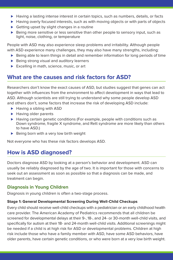- ► Having a lasting intense interest in certain topics, such as numbers, details, or facts
- ► Having overly focused interests, such as with moving objects or with parts of objects
- ► Getting upset by slight changes in a routine
- ► Being more sensitive or less sensitive than other people to sensory input, such as light, noise, clothing, or temperature

People with ASD may also experience sleep problems and irritability. Although people with ASD experience many challenges, they may also have many strengths, including:

- ► Being able to learn things in detail and remember information for long periods of time
- ► Being strong visual and auditory learners
- ► Excelling in math, science, music, or art

## **What are the causes and risk factors for ASD?**

Researchers don't know the exact causes of ASD, but studies suggest that genes can act together with influences from the environment to affect development in ways that lead to ASD. Although scientists are still trying to understand why some people develop ASD and others don't, some factors that increase the risk of developing ASD include:

- ► Having a sibling with ASD
- ► Having older parents
- ► Having certain genetic conditions (For example, people with conditions such as Down syndrome, fragile X syndrome, and Rett syndrome are more likely than others to have ASD.)
- ▶ Being born with a very low birth weight

Not everyone who has these risk factors develops ASD.

# **How is ASD diagnosed?**

Doctors diagnose ASD by looking at a person's behavior and development. ASD can usually be reliably diagnosed by the age of two. It is important for those with concerns to seek out an assessment as soon as possible so that a diagnosis can be made, and treatment can begin.

### **Diagnosis in Young Children**

Diagnosis in young children is often a two-stage process.

#### **Stage 1: General Developmental Screening During Well-Child Checkups**

Every child should receive well-child checkups with a pediatrician or an early childhood health care provider. The American Academy of Pediatrics recommends that all children be screened for developmental delays at their 9-, 18-, and 24- or 30-month well-child visits, and specifically for autism at their 18- and 24-month well-child visits. Additional screenings might be needed if a child is at high risk for ASD or developmental problems. Children at high risk include those who have a family member with ASD, have some ASD behaviors, have older parents, have certain genetic conditions, or who were born at a very low birth weight.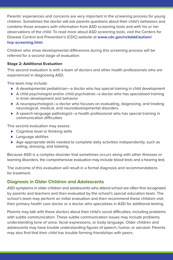Parents' experiences and concerns are very important in the screening process for young children. Sometimes the doctor will ask parents questions about their child's behaviors and combine those answers with information from ASD screening tools and with his or her observations of the child. To read more about ASD screening tools, visit the Centers for Disease Control and Prevention's (CDC) website at **[www.cdc.gov/ncbddd/autism/](https://www.cdc.gov/ncbddd/autism/hcp-screening.html) [hcp-screening.html](https://www.cdc.gov/ncbddd/autism/hcp-screening.html)**.

Children who show developmental differences during this screening process will be referred for a second stage of evaluation.

#### **Stage 2: Additional Evaluation**

This second evaluation is with a team of doctors and other health professionals who are experienced in diagnosing ASD.

This team may include:

- ► A developmental pediatrician—a doctor who has special training in child development
- ► A child psychologist and/or child psychiatrist—a doctor who has specialized training in brain development and behavior
- ► A neuropsychologist—a doctor who focuses on evaluating, diagnosing, and treating neurological, medical, and neurodevelopmental disorders
- ▶ A speech-language pathologist—a health professional who has special training in communication difficulties

This second evaluation may assess:

- ► Cognitive level or thinking skills
- ► Language abilities
- ▶ Age-appropriate skills needed to complete daily activities independently, such as eating, dressing, and toileting

Because ASD is a complex disorder that sometimes occurs along with other illnesses or learning disorders, the comprehensive evaluation may include blood tests and a hearing test.

The outcome of this evaluation will result in a formal diagnosis and recommendations for treatment.

### **Diagnosis in Older Children and Adolescents**

ASD symptoms in older children and adolescents who attend school are often first recognized by parents and teachers and then evaluated by the school's special education team. The school's team may perform an initial evaluation and then recommend these children visit their primary health care doctor or a doctor who specializes in ASD for additional testing.

Parents may talk with these doctors about their child's social difficulties, including problems with subtle communication. These subtle communication issues may include problems understanding tone of voice, facial expressions, or body language. Older children and adolescents may have trouble understanding figures of speech, humor, or sarcasm. Parents may also find that their child has trouble forming friendships with peers.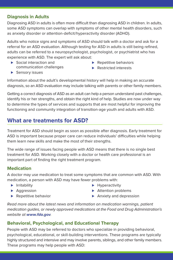## **Diagnosis in Adults**

Diagnosing ASD in adults is often more difficult than diagnosing ASD in children. In adults, some ASD symptoms can overlap with symptoms of other mental health disorders, such as anxiety disorder or attention-deficit/hyperactivity disorder (ADHD).

Adults who notice signs and symptoms of ASD should talk with a doctor and ask for a referral for an ASD evaluation. Although testing for ASD in adults is still being refined, adults can be referred to a neuropsychologist, psychologist, or psychiatrist who has experience with ASD. The expert will ask about:

- ► Social interaction and communication challenges
- ▶ Repetitive behaviors
- ▶ Restricted interests

▶ Sensory issues

Information about the adult's developmental history will help in making an accurate diagnosis, so an ASD evaluation may include talking with parents or other family members.

Getting a correct diagnosis of ASD as an adult can help a person understand past challenges, identify his or her strengths, and obtain the right kind of help. Studies are now under way to determine the types of services and supports that are most helpful for improving the functioning and community integration of transition-age youth and adults with ASD.

# **What are treatments for ASD?**

Treatment for ASD should begin as soon as possible after diagnosis. Early treatment for ASD is important because proper care can reduce individuals' difficulties while helping them learn new skills and make the most of their strengths.

The wide range of issues facing people with ASD means that there is no single best treatment for ASD. Working closely with a doctor or health care professional is an important part of finding the right treatment program.

### **Medication**

A doctor may use medication to treat some symptoms that are common with ASD. With medication, a person with ASD may have fewer problems with:

- ► Irritability
- ▶ Aggression
- ▶ Repetitive behavior
- ► Hyperactivity
- ► Attention problems
- ▶ Anxiety and depression

Read more about the latest news and information on medication warnings, patient medication guides, or newly approved medications at the Food and Drug Administration's website at **[www.fda.gov](https://www.fda.gov/)**.

## **Behavioral, Psychological, and Educational Therapy**

People with ASD may be referred to doctors who specialize in providing behavioral, psychological, educational, or skill-building interventions. These programs are typically highly structured and intensive and may involve parents, siblings, and other family members. These programs may help people with ASD: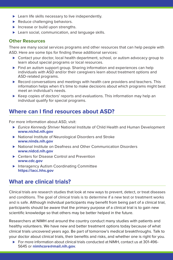- ▶ Learn life skills necessary to live independently.
- ▶ Reduce challenging behaviors.
- ▶ Increase or build upon strengths.
- ▶ Learn social, communication, and language skills.

#### **Other Resources**

There are many social services programs and other resources that can help people with ASD. Here are some tips for finding these additional services:

- ► Contact your doctor, local health department, school, or autism advocacy group to learn about special programs or local resources.
- ▶ Find an autism support group. Sharing information and experiences can help individuals with ASD and/or their caregivers learn about treatment options and ASD-related programs.
- ► Record conversations and meetings with health care providers and teachers. This information helps when it's time to make decisions about which programs might best meet an individual's needs.
- ► Keep copies of doctors' reports and evaluations. This information may help an individual qualify for special programs.

## **Where can I find resources about ASD?**

For more information about ASD, visit:

- ► Eunice Kennedy Shriver National Institute of Child Health and Human Development **[www.nichd.nih.gov](https://www.nichd.nih.gov/)**
- ▶ National Institute of Neurological Disorders and Stroke **[www.ninds.nih.gov](https://www.ninds.nih.gov/)**
- ▶ National Institute on Deafness and Other Communication Disorders **[www.nidcd.nih.gov](https://www.nidcd.nih.gov/)**
- ► Centers for Disease Control and Prevention **[www.cdc.gov](https://www.cdc.gov/)**
- ▶ Interagency Autism Coordinating Committee **[https://iacc.hhs.gov](https://iacc.hhs.gov/)**

## **What are clinical trials?**

Clinical trials are research studies that look at new ways to prevent, detect, or treat diseases and conditions. The goal of clinical trials is to determine if a new test or treatment works and is safe. Although individual participants may benefit from being part of a clinical trial, participants should be aware that the primary purpose of a clinical trial is to gain new scientific knowledge so that others may be better helped in the future.

Researchers at NIMH and around the country conduct many studies with patients and healthy volunteers. We have new and better treatment options today because of what clinical trials uncovered years ago. Be part of tomorrow's medical breakthroughs. Talk to your doctor about clinical trials, their benefits and risks, and whether one is right for you.

► For more information about clinical trials conducted at NIMH, contact us at 301-496-5645 or **[nimhcore@mail.nih.gov](mailto:nimhcore@mail.nih.gov)**.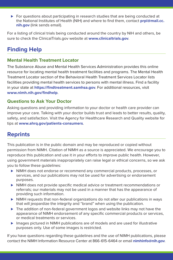► For questions about participating in research studies that are being conducted at the National Institutes of Health (NIH) and where to find them, contact **[prpl@mail.cc.](mailto:prpl@mail.cc.nih.gov) [nih.gov](mailto:prpl@mail.cc.nih.gov)** (link sends email).

For a listing of clinical trials being conducted around the country by NIH and others, be sure to check the ClinicalTrials.gov website at **[www.clinicaltrials.gov](https://www.clinicaltrials.gov/)**.

# **Finding Help**

#### **Mental Health Treatment Locator**

The Substance Abuse and Mental Health Services Administration provides this online resource for locating mental health treatment facilities and programs. The Mental Health Treatment Locator section of the Behavioral Health Treatment Services Locator lists facilities providing mental health services to persons with mental illness. Find a facility in your state at **[https://findtreatment.samhsa.gov](https://findtreatment.samhsa.gov/)**. For additional resources, visit **[www.nimh.nih.gov/findhelp](https://www.nimh.nih.gov/findhelp)**.

### **Questions to Ask Your Doctor**

Asking questions and providing information to your doctor or health care provider can improve your care. Talking with your doctor builds trust and leads to better results, quality, safety, and satisfaction. Visit the Agency for Healthcare Research and Quality website for tips at **[www.ahrq.gov/patients-consumers](https://www.ahrq.gov/patients-consumers)**.

# **Reprints**

This publication is in the public domain and may be reproduced or copied without permission from NIMH. Citation of NIMH as a source is appreciated. We encourage you to reproduce this publication and use it in your efforts to improve public health. However, using government materials inappropriately can raise legal or ethical concerns, so we ask you to follow these guidelines:

- ► NIMH does not endorse or recommend any commercial products, processes, or services, and our publications may not be used for advertising or endorsement purposes.
- ► NIMH does not provide specific medical advice or treatment recommendations or referrals; our materials may not be used in a manner that has the appearance of providing such information.
- ▶ NIMH requests that non-federal organizations do not alter our publications in ways that will jeopardize the integrity and "brand" when using the publication.
- ► The addition of non-federal government logos and website links may not have the appearance of NIMH endorsement of any specific commercial products or services, or medical treatments or services.
- ► Images pictured in NIMH publications are of models and are used for illustrative purposes only. Use of some images is restricted.

If you have questions regarding these guidelines and the use of NIMH publications, please contact the NIMH Information Resource Center at 866-615-6464 or email **[nimhinfo@nih.gov](mailto:nimhinfo@nih.gov)**.